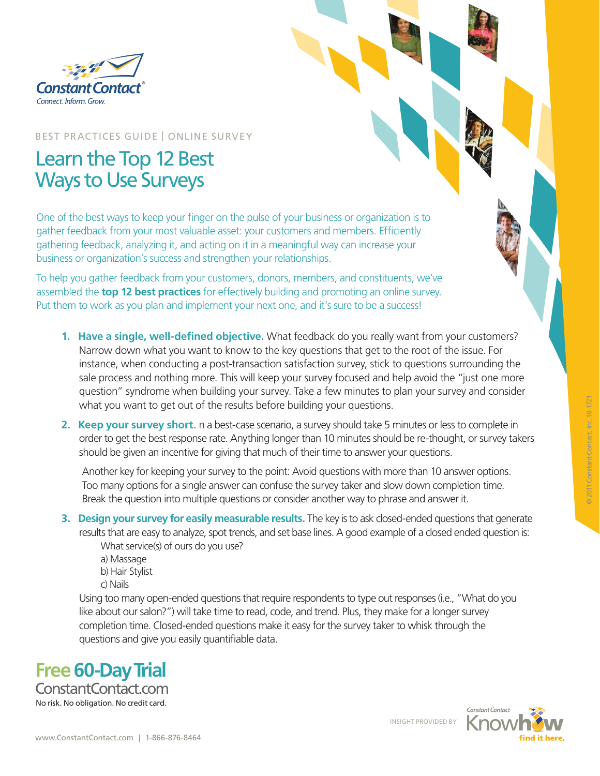

BEST PRACTICES GUIDE | ONLINE SURVEY

# Learn the Top 12 Best Ways to Use Surveys

One of the best ways to keep your finger on the pulse of your business or organization is to gather feedback from your most valuable asset: your customers and members. Efficiently gathering feedback, analyzing it, and acting on it in a meaningful way can increase your business or organization's success and strengthen your relationships.

To help you gather feedback from your customers, donors, members, and constituents, we've assembled the **top 12 best practices** for effectively building and promoting an online survey. Put them to work as you plan and implement your next one, and it's sure to be a success!

- **1. Have a single, well-defined objective.** What feedback do you really want from your customers? Narrow down what you want to know to the key questions that get to the root of the issue. For instance, when conducting a post-transaction satisfaction survey, stick to questions surrounding the sale process and nothing more. This will keep your survey focused and help avoid the "just one more question" syndrome when building your survey. Take a few minutes to plan your survey and consider what you want to get out of the results before building your questions.
- **2. Keep your survey short.** n a best-case scenario, a survey should take 5 minutes or less to complete in order to get the best response rate. Anything longer than 10 minutes should be re-thought, or survey takers should be given an incentive for giving that much of their time to answer your questions.

Another key for keeping your survey to the point: Avoid questions with more than 10 answer options. Too many options for a single answer can confuse the survey taker and slow down completion time. Break the question into multiple questions or consider another way to phrase and answer it*.*

- **3. Design your survey for easily measurable results.** The key is to ask closed-ended questions that generate results that are easy to analyze, spot trends, and set base lines. A good example of a closed ended question is: What service(s) of ours do you use?
	- a) Massage b) Hair Stylist
	- c) Nails

Using too many open-ended questions that require respondents to type out responses (i.e., "What do you like about our salon?") will take time to read, code, and trend. Plus, they make for a longer survey completion time. Closed-ended questions make it easy for the survey taker to whisk through the questions and give you easily quantifiable data.



INSIGHT PROVIDED BY

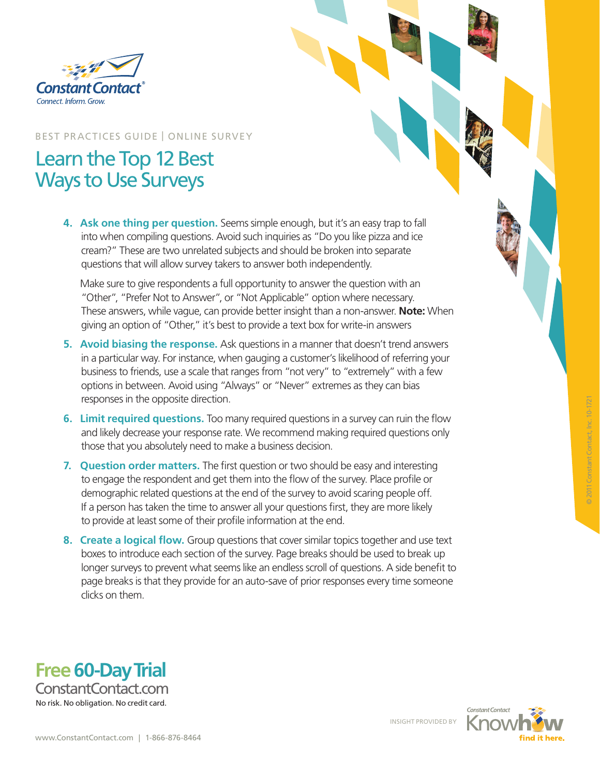

### BEST PRACTICES GUIDE | ONLINE SURVEY

## Learn the Top 12 Best Ways to Use Surveys

**4. Ask one thing per question.** Seems simple enough, but it's an easy trap to fall into when compiling questions. Avoid such inquiries as "Do you like pizza and ice cream?" These are two unrelated subjects and should be broken into separate questions that will allow survey takers to answer both independently.

 Make sure to give respondents a full opportunity to answer the question with an "Other", "Prefer Not to Answer", or "Not Applicable" option where necessary. These answers, while vague, can provide better insight than a non-answer. **Note:** When giving an option of "Other," it's best to provide a text box for write-in answers

- **5. Avoid biasing the response.** Ask questions in a manner that doesn't trend answers in a particular way. For instance, when gauging a customer's likelihood of referring your business to friends, use a scale that ranges from "not very" to "extremely" with a few options in between. Avoid using "Always" or "Never" extremes as they can bias responses in the opposite direction.
- **6. Limit required questions.** Too many required questions in a survey can ruin the flow and likely decrease your response rate. We recommend making required questions only those that you absolutely need to make a business decision.
- **7. Question order matters.** The first question or two should be easy and interesting to engage the respondent and get them into the flow of the survey. Place profile or demographic related questions at the end of the survey to avoid scaring people off. If a person has taken the time to answer all your questions first, they are more likely to provide at least some of their profile information at the end.
- **8. Create a logical flow.** Group questions that cover similar topics together and use text boxes to introduce each section of the survey. Page breaks should be used to break up longer surveys to prevent what seems like an endless scroll of questions. A side benefit to page breaks is that they provide for an auto-save of prior responses every time someone clicks on them.